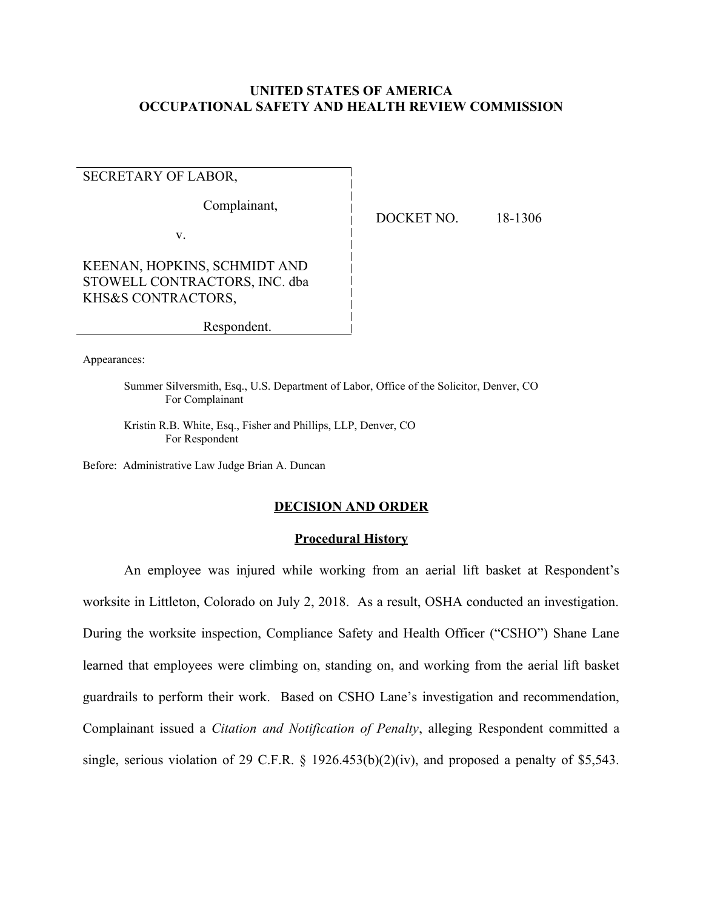# **UNITED STATES OF AMERICA OCCUPATIONAL SAFETY AND HEALTH REVIEW COMMISSION**

# SECRETARY OF LABOR,

Complainant,

v.

DOCKET NO. 18-1306

KEENAN, HOPKINS, SCHMIDT AND STOWELL CONTRACTORS, INC. dba KHS&S CONTRACTORS.

Respondent.

Appearances:

Summer Silversmith, Esq., U.S. Department of Labor, Office of the Solicitor, Denver, CO For Complainant

Kristin R.B. White, Esq., Fisher and Phillips, LLP, Denver, CO<br>For Respondent

Before: Administrative Law Judge Brian A. Duncan

### **DECISION AND ORDER**

### **Procedural History**

 An employee was injured while working from an aerial lift basket at Respondent's worksite in Littleton, Colorado on July 2, 2018. As a result, OSHA conducted an investigation. During the worksite inspection, Compliance Safety and Health Officer ("CSHO") Shane Lane learned that employees were climbing on, standing on, and working from the aerial lift basket guardrails to perform their work. Based on CSHO Lane's investigation and recommendation, Complainant issued a *Citation and Notification of Penalty*, alleging Respondent committed a single, serious violation of 29 C.F.R.  $\S$  1926.453(b)(2)(iv), and proposed a penalty of \$5,543.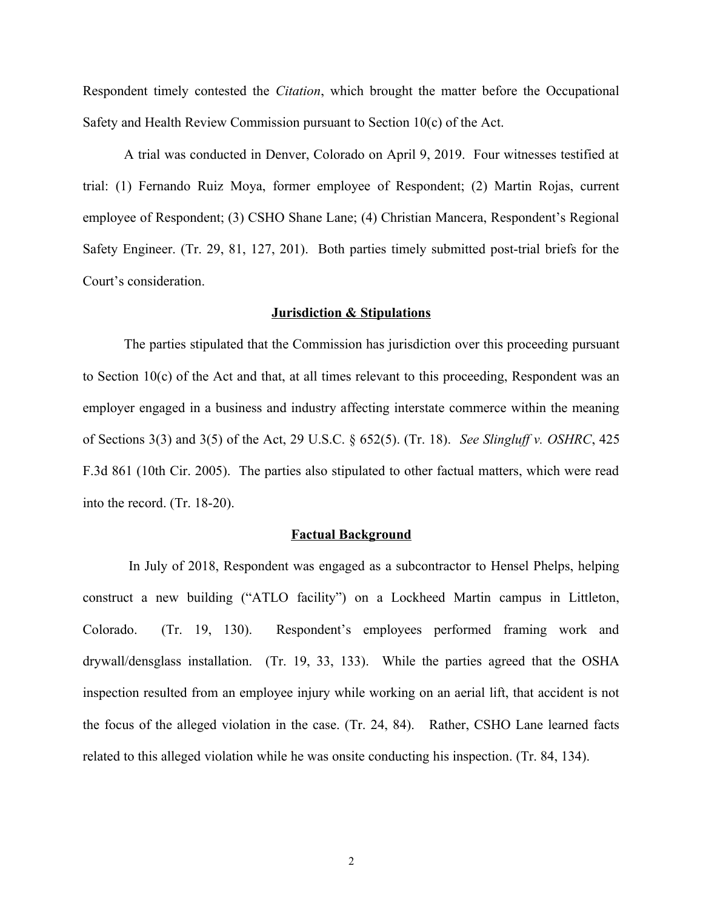Respondent timely contested the *Citation*, which brought the matter before the Occupational Safety and Health Review Commission pursuant to Section 10(c) of the Act.

 A trial was conducted in Denver, Colorado on April 9, 2019. Four witnesses testified at trial: (1) Fernando Ruiz Moya, former employee of Respondent; (2) Martin Rojas, current employee of Respondent; (3) CSHO Shane Lane; (4) Christian Mancera, Respondent's Regional Safety Engineer. (Tr. 29, 81, 127, 201). Both parties timely submitted post-trial briefs for the Court's consideration.

### **Jurisdiction & Stipulations**

The parties stipulated that the Commission has jurisdiction over this proceeding pursuant to Section 10(c) of the Act and that, at all times relevant to this proceeding, Respondent was an employer engaged in a business and industry affecting interstate commerce within the meaning of Sections 3(3) and 3(5) of the Act, 29 U.S.C. § 652(5). ( r. 18). *See Slingluff v. OSHRC*, 425 F.3d 861 (10th Cir. 2005). The parties also stipulated to other factual matters, which were read into the record. (Tr.  $18-20$ ).

#### **Factual Background**

construct a new building ("ATLO facility") on a Lockheed Martin campus in Littleton, drywall/densglass installation. (Tr. 19, 33, 133). While the parties agreed that the OSHA inspection resulted from an employee injury while working on an aerial lift, that accident is not the focus of the alleged violation in the case. (Tr. 24, 84). Rather, CSHO Lane learned facts In July of 2018, Respondent was engaged as a subcontractor to Hensel Phelps, helping Colorado. (Tr. 19, 130). Respondent's employees performed framing work and related to this alleged violation while he was onsite conducting his inspection. (Tr. 84, 134).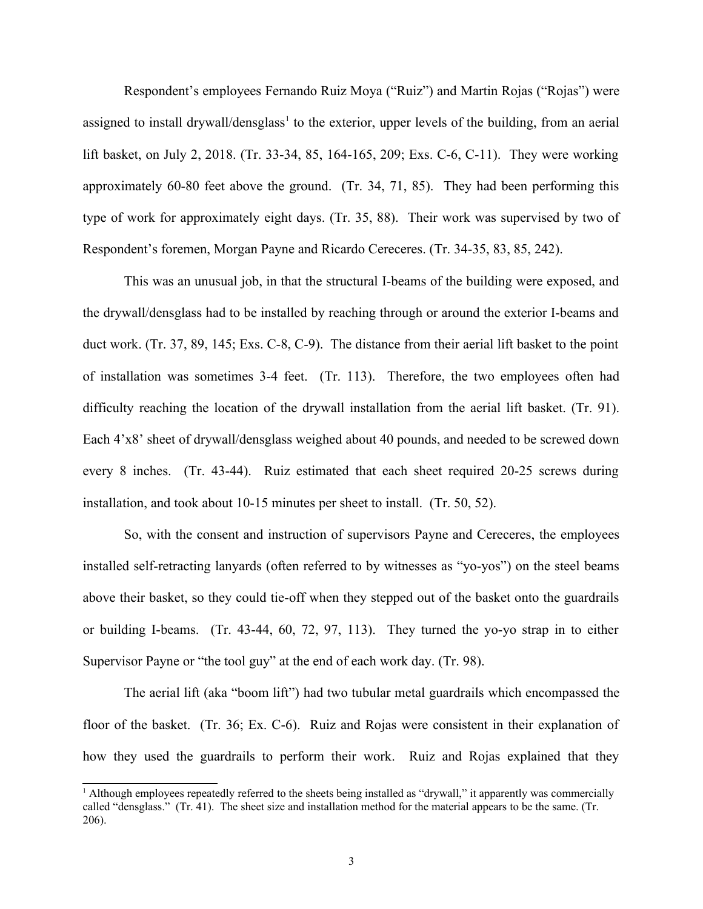Respondent's employees Fernando Ruiz Moya ("Ruiz") and Martin Rojas ("Rojas") were assigned to install drywall/densglass<sup>[1](#page-2-0)</sup> to the exterior, upper levels of the building, from an aerial lift basket, on July 2, 2018. (Tr. 33-34, 85, 164-165, 209; Exs. C-6, C-11). They were working approximately  $60-80$  feet above the ground. (Tr. 34, 71, 85). They had been performing this type of work for approximately eight days. (Tr. 35, 88). Their work was supervised by two of Respondent's foremen, Morgan Payne and Ricardo Cereceres. (Tr. 34-35, 83, 85, 242).

This was an unusual job, in that the structural I-beams of the building were exposed, and the drywall/densglass had to be installed by reaching through or around the exterior I-beams and duct work. (Tr. 37, 89, 145; Exs. C-8, C-9). The distance from their aerial lift basket to the point of installation was sometimes 3-4 feet. (Tr. 113). Therefore, the two employees often had difficulty reaching the location of the drywall installation from the aerial lift basket. (Tr. 91). every 8 inches. (Tr. 43-44). Ruiz estimated that each sheet required 20-25 screws during Each 4'x8' sheet of drywall/densglass weighed about 40 pounds, and needed to be screwed down installation, and took about  $10-15$  minutes per sheet to install. (Tr. 50, 52).

 So, with the consent and instruction of supervisors Payne and Cereceres, the employees installed self-retracting lanyards (often referred to by witnesses as "yo-yos") on the steel beams above their basket, so they could tie-off when they stepped out of the basket onto the guardrails or building I-beams. (Tr. 43-44, 60, 72, 97, 113). They turned the yo-yo strap in to either Supervisor Payne or "the tool guy" at the end of each work day. (Tr. 98).

 he aerial lift (aka "boom lift") had two tubular metal guardrails which encompassed the floor of the basket. (Tr. 36; Ex. C-6). Ruiz and Rojas were consistent in their explanation of how they used the guardrails to perform their work. Ruiz and Rojas explained that they

<span id="page-2-0"></span><sup>&</sup>lt;sup>1</sup> Although employees repeatedly referred to the sheets being installed as "drywall," it apparently was commercially called "densglass." (Tr. 41). The sheet size and installation method for the material appears to be the same. (Tr. 206).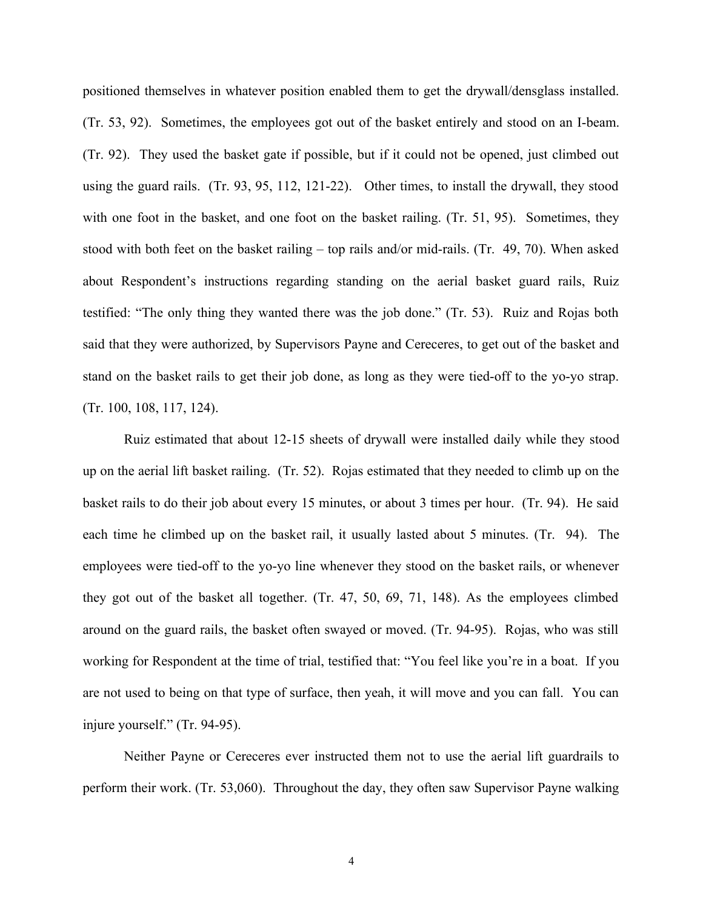positioned themselves in whatever position enabled them to get the drywall/densglass installed. (Tr. 53, 92). Sometimes, the employees got out of the basket entirely and stood on an I-beam. (Tr. 92). They used the basket gate if possible, but if it could not be opened, just climbed out using the guard rails. (Tr. 93, 95, 112, 121-22). Other times, to install the drywall, they stood with one foot in the basket, and one foot on the basket railing. (Tr. 51, 95). Sometimes, they stood with both feet on the basket railing – top rails and/or mid-rails. (Tr. 49, 70). When asked about Respondent's instructions regarding standing on the aerial basket guard rails, Ruiz testified: "The only thing they wanted there was the job done." (Tr. 53). Ruiz and Rojas both said that they were authorized, by Supervisors Payne and Cereceres, to get out of the basket and stand on the basket rails to get their job done, as long as they were tied-off to the yo-yo strap. (Tr. 100, 108, 117, 124).

 Ruiz estimated that about 12-15 sheets of drywall were installed daily while they stood up on the aerial lift basket railing. (Tr. 52). Rojas estimated that they needed to climb up on the basket rails to do their job about every 15 minutes, or about 3 times per hour. (Tr. 94). He said each time he climbed up on the basket rail, it usually lasted about 5 minutes. (Tr. 94). The employees were tied-off to the yo-yo line whenever they stood on the basket rails, or whenever they got out of the basket all together.  $(Tr. 47, 50, 69, 71, 148)$ . As the employees climbed around on the guard rails, the basket often swayed or moved. (Tr. 94-95). Rojas, who was still working for Respondent at the time of trial, testified that: "You feel like you're in a boat. If you are not used to being on that type of surface, then yeah, it will move and you can fall. You can injure yourself." (Tr. 94-95).

 Neither Payne or Cereceres ever instructed them not to use the aerial lift guardrails to perform their work. (Tr. 53,060). Throughout the day, they often saw Supervisor Payne walking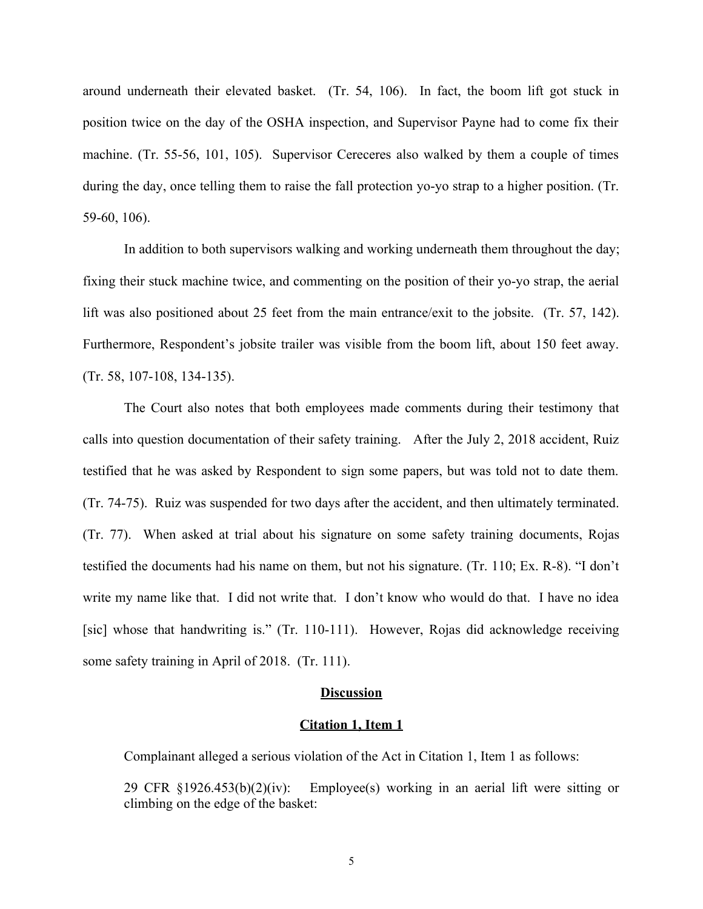around underneath their elevated basket. (Tr. 54, 106). In fact, the boom lift got stuck in position twice on the day of the OSHA inspection, and Supervisor Payne had to come fix their machine. (Tr. 55-56, 101, 105). Supervisor Cereceres also walked by them a couple of times during the day, once telling them to raise the fall protection yo-yo strap to a higher position. (Tr. 59-60, 106).

 fixing their stuck machine twice, and commenting on the position of their yo-yo strap, the aerial lift was also positioned about 25 feet from the main entrance/exit to the jobsite. (Tr. 57, 142). Furthermore, Respondent's jobsite trailer was visible from the boom lift, about 150 feet away. In addition to both supervisors walking and working underneath them throughout the day;  $(Tr. 58, 107-108, 134-135).$ 

The Court also notes that both employees made comments during their testimony that calls into question documentation of their safety training. After the July 2, 2018 accident, Ruiz testified that he was asked by Respondent to sign some papers, but was told not to date them. (Tr. 74-75). Ruiz was suspended for two days after the accident, and then ultimately terminated. (Tr. 77). When asked at trial about his signature on some safety training documents, Rojas testified the documents had his name on them, but not his signature. (Tr. 110; Ex. R-8). "I don't write my name like that. I did not write that. I don't know who would do that. I have no idea [sic] whose that handwriting is." (Tr. 110-111). However, Rojas did acknowledge receiving some safety training in April of  $2018$ . (Tr. 111).

#### **Discussion**

#### **Citation 1, Item 1**

Complainant alleged a serious violation of the Act in Citation 1, Item 1 as follows:

29 CFR §1926.453(b)(2)(iv): Employee(s) working in an aerial lift were sitting or climbing on the edge of the basket: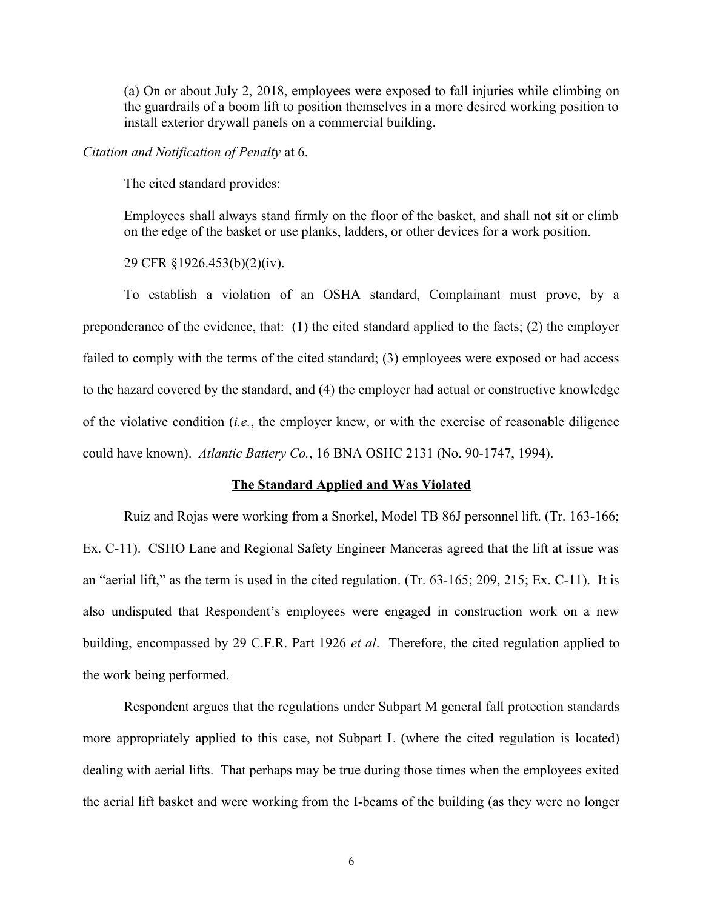(a) On or about July 2, 2018, employees were exposed to fall injuries while climbing on the guardrails of a boom lift to position themselves in a more desired working position to install exterior drywall panels on a commercial building.

#### *Citation and Notification of Penalty* at 6.

The cited standard provides:

 Employees shall always stand firmly on the floor of the basket, and shall not sit or climb on the edge of the basket or use planks, ladders, or other devices for a work position.

29 CFR §1926.453(b)(2)(iv).

To establish a violation of an OSHA standard, Complainant must prove, by a preponderance of the evidence, that: (1) the cited standard applied to the facts; (2) the employer failed to comply with the terms of the cited standard; (3) employees were exposed or had access of the violative condition (*i.e.*, the employer knew, or with the exercise of reasonable diligence to the hazard covered by the standard, and (4) the employer had actual or constructive knowledge could have known). *Atlantic Battery Co.*, 16 BNA OSHC 2131 (No. 90-1747, 1994).

### **The Standard Applied and Was Violated**

Ruiz and Rojas were working from a Snorkel, Model TB 86J personnel lift. (Tr. 163-166; Ex. C-11). CSHO Lane and Regional Safety Engineer Manceras agreed that the lift at issue was an "aerial lift," as the term is used in the cited regulation. (Tr. 63-165; 209, 215; Ex. C-11). It is also undisputed that Respondent's employees were engaged in construction work on a new building, encompassed by 29 C.F.R. Part 1926 *et al*. Therefore, the cited regulation applied to the work being performed. the work being performed.<br>Respondent argues that the regulations under Subpart M general fall protection standards

 more appropriately applied to this case, not Subpart L (where the cited regulation is located) dealing with aerial lifts. That perhaps may be true during those times when the employees exited the aerial lift basket and were working from the I-beams of the building (as they were no longer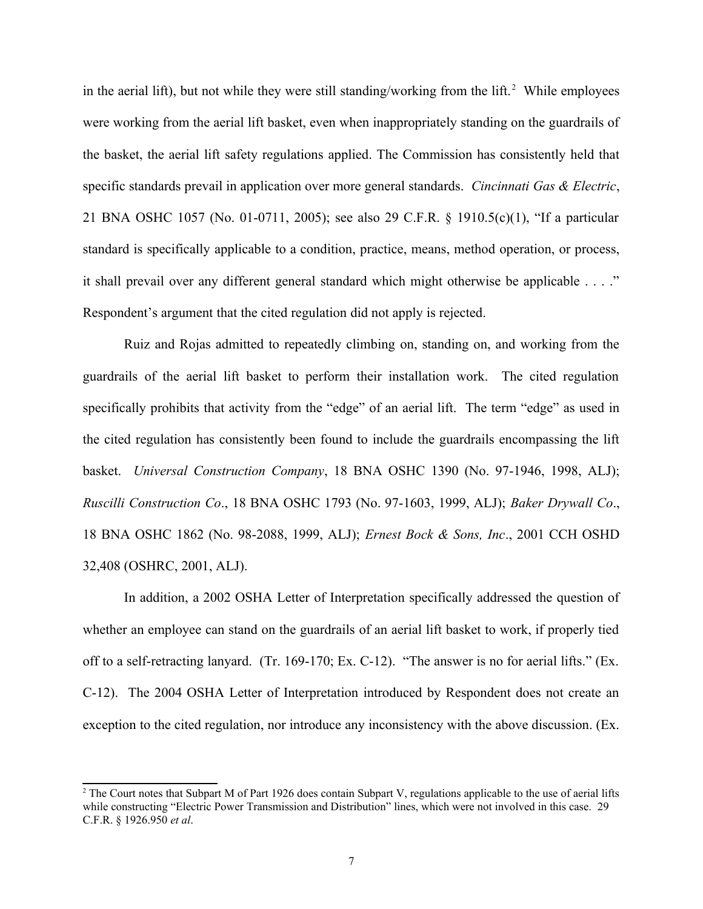in the aerial lift), but not while they were still standing/working from the lift.<sup>[2](#page-6-0)</sup> While employees were working from the aerial lift basket, even when inappropriately standing on the guardrails of the basket, the aerial lift safety regulations applied. The Commission has consistently held that 21 BNA OSHC 1057 (No. 01-0711, 2005); see also 29 C.F.R. § 1910.5(c)(1), "If a particular standard is specifically applicable to a condition, practice, means, method operation, or process, it shall prevail over any different general standard which might otherwise be applicable . . . ." specific standards prevail in application over more general standards. *Cincinnati Gas & Electric*, Respondent's argument that the cited regulation did not apply is rejected.

 Ruiz and Rojas admitted to repeatedly climbing on, standing on, and working from the guardrails of the aerial lift basket to perform their installation work. The cited regulation specifically prohibits that activity from the "edge" of an aerial lift. The term "edge" as used in the cited regulation has consistently been found to include the guardrails encompassing the lift basket. *Universal Construction Company*, 18 BNA OSHC 1390 (No. 97-1946, 1998, ALJ); *Ruscilli Construction Co*., 18 BNA OSHC 1793 (No. 97-1603, 1999, ALJ); *Baker Drywall Co*., 18 BNA OSHC 1862 (No. 98-2088, 1999, ALJ); *Ernest Bock & Sons, Inc*., 2001 CCH OSHD 32,408 (OSHRC, 2001, ALJ).

 In addition, a 2002 OSHA Letter of Interpretation specifically addressed the question of whether an employee can stand on the guardrails of an aerial lift basket to work, if properly tied off to a self-retracting lanyard. (Tr. 169-170; Ex. C-12). "The answer is no for aerial lifts." (Ex. C-12). The 2004 OSHA Letter of Interpretation introduced by Respondent does not create an exception to the cited regulation, nor introduce any inconsistency with the above discussion. (Ex.

<span id="page-6-0"></span><sup>&</sup>lt;sup>2</sup> The Court notes that Subpart M of Part 1926 does contain Subpart V, regulations applicable to the use of aerial lifts while constructing "Electric Power Transmission and Distribution" lines, which were not involved in this case. 29 C.F.R. § 1926.950 *et al*.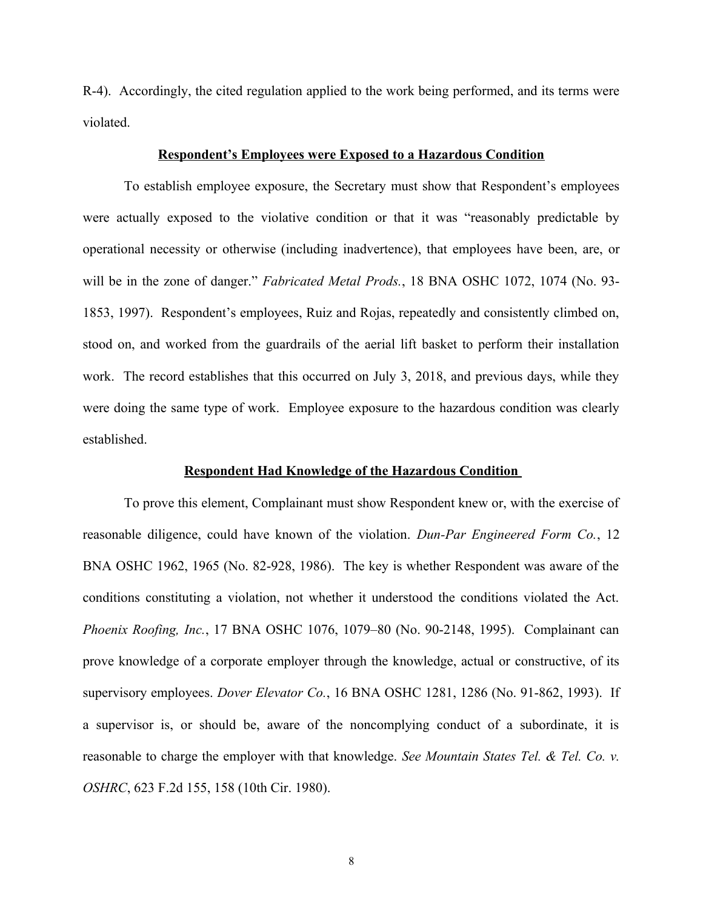R-4). Accordingly, the cited regulation applied to the work being performed, and its terms were violated.

### **Respondent's Employees were Exposed to a Hazardous Condition**

To establish employee exposure, the Secretary must show that Respondent's employees were actually exposed to the violative condition or that it was "reasonably predictable by operational necessity or otherwise (including inadvertence), that employees have been, are, or will be in the zone of danger." *Fabricated Metal Prods.*, 18 BNA OSHC 1072, 1074 (No. 93- 1853, 1997). Respondent's employees, Ruiz and Rojas, repeatedly and consistently climbed on, stood on, and worked from the guardrails of the aerial lift basket to perform their installation work. The record establishes that this occurred on July 3, 2018, and previous days, while they were doing the same type of work. Employee exposure to the hazardous condition was clearly established.

### **Respondent Had Knowledge of the Hazardous Condition**

To prove this element, Complainant must show Respondent knew or, with the exercise of reasonable diligence, could have known of the violation. *Dun-Par Engineered Form Co.*, 12 BNA OSHC 1962, 1965 (No. 82-928, 1986). The key is whether Respondent was aware of the conditions constituting a violation, not whether it understood the conditions violated the Act.  *Phoenix Roofing, Inc.*, 17 BNA OSHC 1076, 1079–80 (No. 90-2148, 1995). Complainant can prove knowledge of a corporate employer through the knowledge, actual or constructive, of its supervisory employees. *Dover Elevator Co.*, 16 BNA OSHC 1281, 1286 (No. 91-862, 1993). If a supervisor is, or should be, aware of the noncomplying conduct of a subordinate, it is reasonable to charge the employer with that knowledge. *See Mountain States Tel. & Tel. Co. v. OSHRC*, 623 F.2d 155, 158 (10th Cir. 1980).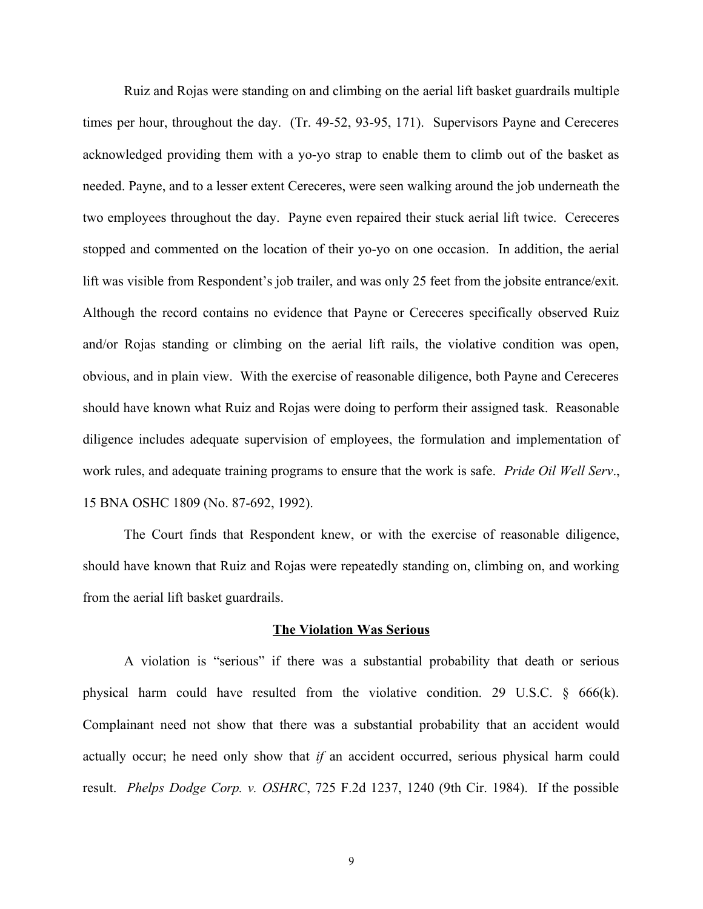Ruiz and Rojas were standing on and climbing on the aerial lift basket guardrails multiple times per hour, throughout the day. (Tr. 49-52, 93-95, 171). Supervisors Payne and Cereceres acknowledged providing them with a yo-yo strap to enable them to climb out of the basket as two employees throughout the day. Payne even repaired their stuck aerial lift twice. Cereceres stopped and commented on the location of their yo-yo on one occasion. In addition, the aerial Although the record contains no evidence that Payne or Cereceres specifically observed Ruiz and/or Rojas standing or climbing on the aerial lift rails, the violative condition was open, obvious, and in plain view. With the exercise of reasonable diligence, both Payne and Cereceres should have known what Ruiz and Rojas were doing to perform their assigned task. Reasonable diligence includes adequate supervision of employees, the formulation and implementation of work rules, and adequate training programs to ensure that the work is safe. *Pride Oil Well Serv*., needed. Payne, and to a lesser extent Cereceres, were seen walking around the job underneath the lift was visible from Respondent's job trailer, and was only 25 feet from the jobsite entrance/exit. 15 BNA OSHC 1809 (No. 87-692, 1992).

The Court finds that Respondent knew, or with the exercise of reasonable diligence, should have known that Ruiz and Rojas were repeatedly standing on, climbing on, and working from the aerial lift basket guardrails.

#### **The Violation Was Serious**

 A violation is "serious" if there was a substantial probability that death or serious physical harm could have resulted from the violative condition. 29 U.S.C. § 666(k). Complainant need not show that there was a substantial probability that an accident would actually occur; he need only show that *if* an accident occurred, serious physical harm could result. *Phelps Dodge Corp. v. OSHRC*, 725 F.2d 1237, 1240 (9th Cir. 1984). If the possible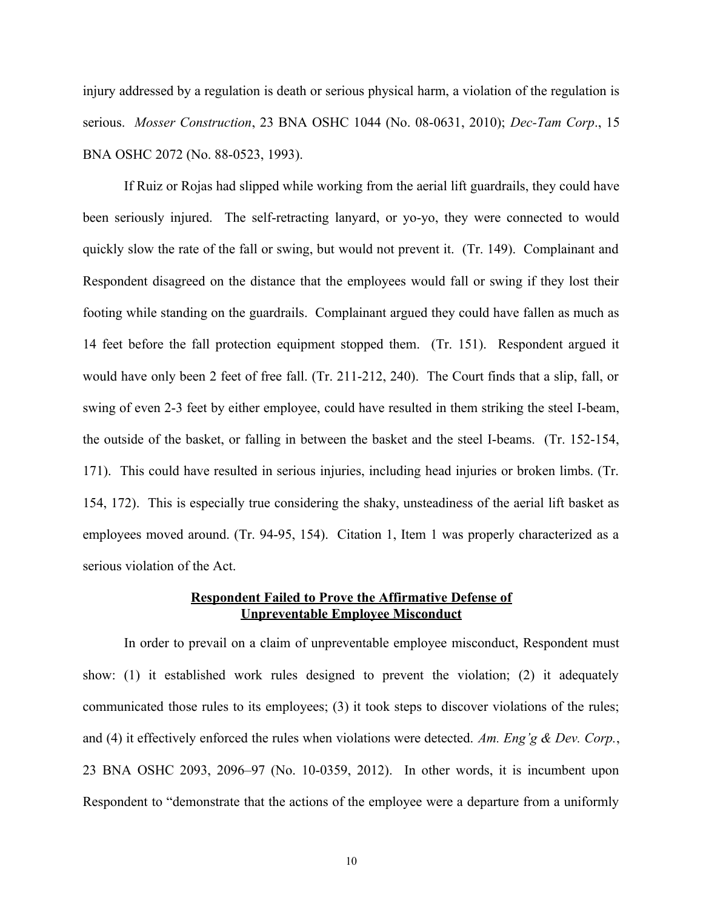injury addressed by a regulation is death or serious physical harm, a violation of the regulation is serious. *Mosser Construction*, 23 BNA OSHC 1044 (No. 08-0631, 2010); *Dec-Tam Corp*., 15 BNA OSHC 2072 (No. 88-0523, 1993).

been seriously injured. The self-retracting lanyard, or yo-yo, they were connected to would quickly slow the rate of the fall or swing, but would not prevent it. (Tr. 149). Complainant and Respondent disagreed on the distance that the employees would fall or swing if they lost their footing while standing on the guardrails. Complainant argued they could have fallen as much as 14 feet before the fall protection equipment stopped them. (Tr. 151). Respondent argued it would have only been 2 feet of free fall. (Tr. 211-212, 240). The Court finds that a slip, fall, or swing of even 2-3 feet by either employee, could have resulted in them striking the steel I-beam, the outside of the basket, or falling in between the basket and the steel I-beams. (Tr. 152-154, 171). This could have resulted in serious injuries, including head injuries or broken limbs. (Tr. 154, 172). This is especially true considering the shaky, unsteadiness of the aerial lift basket as employees moved around. (Tr. 94-95, 154). Citation 1, Item 1 was properly characterized as a If Ruiz or Rojas had slipped while working from the aerial lift guardrails, they could have serious violation of the Act.

### **Respondent Failed to Prove the Affirmative Defense of Unpreventable Employee Misconduct**

 In order to prevail on a claim of unpreventable employee misconduct, Respondent must show: (1) it established work rules designed to prevent the violation; (2) it adequately communicated those rules to its employees; (3) it took steps to discover violations of the rules; and (4) it effectively enforced the rules when violations were detected. *Am. Eng'g & Dev. Corp.*, 23 BNA OSHC 2093, 2096–97 (No. 10-0359, 2012). In other words, it is incumbent upon Respondent to "demonstrate that the actions of the employee were a departure from a uniformly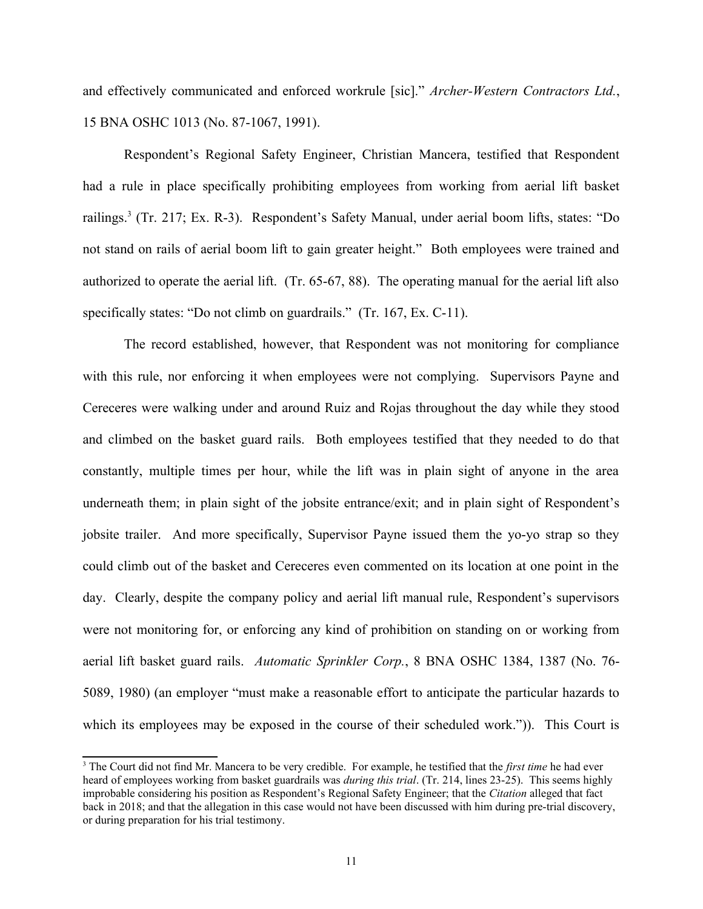and effectively communicated and enforced workrule [sic]." *Archer-Western Contractors Ltd.*, 15 BNA OSHC 1013 (No. 87-1067, 1991).

 Respondent's Regional Safety Engineer, Christian Mancera, testified that Respondent had a rule in place specifically prohibiting employees from working from aerial lift basket railings.<sup>3</sup> (Tr. 217; Ex. R-3). Respondent's Safety Manual, under aerial boom lifts, states: "Do not stand on rails of aerial boom lift to gain greater height." Both employees were trained and authorized to operate the aerial lift. (Tr. 65-67, 88). The operating manual for the aerial lift also specifically states: "Do not climb on guardrails."  $(Tr. 167, Ex. C-11)$ .

The record established, however, that Respondent was not monitoring for compliance with this rule, nor enforcing it when employees were not complying. Supervisors Payne and Cereceres were walking under and around Ruiz and Rojas throughout the day while they stood and climbed on the basket guard rails. Both employees testified that they needed to do that constantly, multiple times per hour, while the lift was in plain sight of anyone in the area underneath them; in plain sight of the jobsite entrance/exit; and in plain sight of Respondent's jobsite trailer. And more specifically, Supervisor Payne issued them the yo-yo strap so they could climb out of the basket and Cereceres even commented on its location at one point in the day. Clearly, despite the company policy and aerial lift manual rule, Respondent's supervisors were not monitoring for, or enforcing any kind of prohibition on standing on or working from aerial lift basket guard rails. *Automatic Sprinkler Corp.*, 8 BNA OSHC 1384, 1387 (No. 76- 5089, 1980) (an employer "must make a reasonable effort to anticipate the particular hazards to which its employees may be exposed in the course of their scheduled work.")). This Court is

<span id="page-10-0"></span><sup>&</sup>lt;sup>3</sup> The Court did not find Mr. Mancera to be very credible. For example, he testified that the *first time* he had ever heard of employees working from basket guardrails was *during this trial*. (Tr. 214, lines 23-25). This seems highly improbable considering his position as Respondent's Regional Safety Engineer; that the *Citation* alleged that fact back in 2018; and that the allegation in this case would not have been discussed with him during pre-trial discovery, or during preparation for his trial testimony.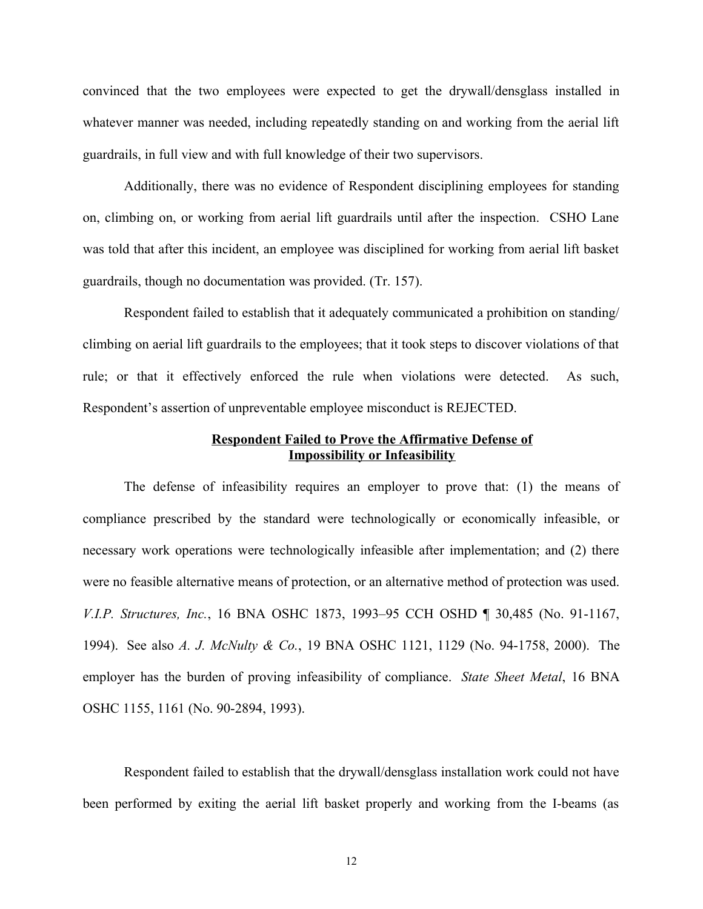convinced that the two employees were expected to get the drywall/densglass installed in whatever manner was needed, including repeatedly standing on and working from the aerial lift guardrails, in full view and with full knowledge of their two supervisors.

 Additionally, there was no evidence of Respondent disciplining employees for standing on, climbing on, or working from aerial lift guardrails until after the inspection. CSHO Lane was told that after this incident, an employee was disciplined for working from aerial lift basket guardrails, though no documentation was provided. (Tr. 157).

 Respondent failed to establish that it adequately communicated a prohibition on standing/ climbing on aerial lift guardrails to the employees; that it took steps to discover violations of that rule; or that it effectively enforced the rule when violations were detected. As such, Respondent's assertion of unpreventable employee misconduct is REJECTED.

# **Respondent Failed to Prove the Affirmative Defense of Impossibility or Infeasibility**

The defense of infeasibility requires an employer to prove that: (1) the means of compliance prescribed by the standard were technologically or economically infeasible, or necessary work operations were technologically infeasible after implementation; and (2) there  *V.I.P. Structures, Inc.*, 16 BNA OSHC 1873, 1993–95 CCH OSHD ¶ 30,485 (No. 91-1167, 1994). See also *A. J. McNulty & Co.*, 19 BNA OSHC 1121, 1129 (No. 94-1758, 2000). The employer has the burden of proving infeasibility of compliance. *State Sheet Metal*, 16 BNA were no feasible alternative means of protection, or an alternative method of protection was used. OSHC 1155, 1161 (No. 90-2894, 1993).

 Respondent failed to establish that the drywall/densglass installation work could not have been performed by exiting the aerial lift basket properly and working from the I-beams (as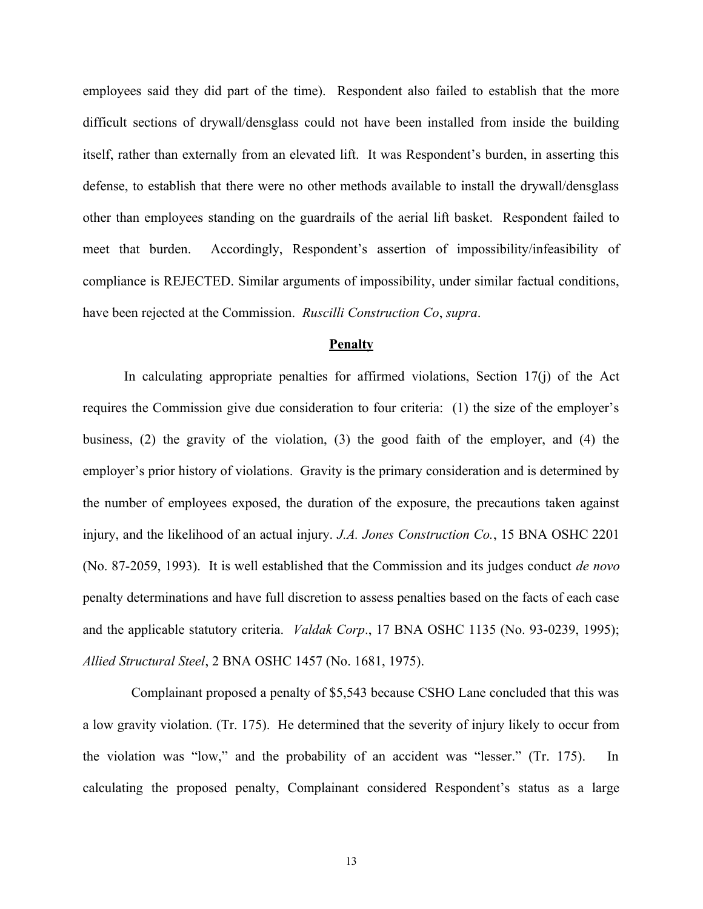employees said they did part of the time). Respondent also failed to establish that the more difficult sections of drywall/densglass could not have been installed from inside the building itself, rather than externally from an elevated lift. It was Respondent's burden, in asserting this defense, to establish that there were no other methods available to install the drywall/densglass other than employees standing on the guardrails of the aerial lift basket. Respondent failed to meet that burden. compliance is REJECTED. Similar arguments of impossibility, under similar factual conditions, have been rejected at the Commission. *Ruscilli Construction Co*, *supra*. Accordingly, Respondent's assertion of impossibility/infeasibility of

#### **Penalty**

 In calculating appropriate penalties for affirmed violations, Section 17(j) of the Act requires the Commission give due consideration to four criteria: (1) the size of the employer's business, (2) the gravity of the violation, (3) the good faith of the employer, and (4) the employer's prior history of violations. Gravity is the primary consideration and is determined by the number of employees exposed, the duration of the exposure, the precautions taken against injury, and the likelihood of an actual injury. *J.A. Jones Construction Co.*, 15 BNA OSHC 2201 (No. 87-2059, 1993). It is well established that the Commission and its judges conduct *de novo*  and the applicable statutory criteria. *Valdak Corp*., 17 BNA OSHC 1135 (No. 93-0239, 1995); penalty determinations and have full discretion to assess penalties based on the facts of each case *Allied Structural Steel*, 2 BNA OSHC 1457 (No. 1681, 1975).

a low gravity violation. (Tr. 175). He determined that the severity of injury likely to occur from the violation was "low," and the probability of an accident was "lesser." (Tr. 175). In calculating the proposed penalty, Complainant considered Respondent's status as a large Complainant proposed a penalty of \$5,543 because CSHO Lane concluded that this was